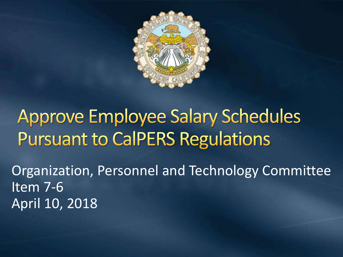

## **Approve Employee Salary Schedules Pursuant to CalPERS Regulations**

Organization, Personnel and Technology Committee Item 7-6 April 10, 2018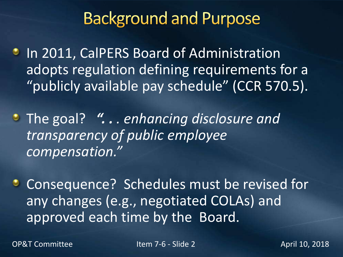### **Background and Purpose**

**• In 2011, CalPERS Board of Administration** adopts regulation defining requirements for a "publicly available pay schedule" (CCR 570.5).

The goal? *". . . enhancing disclosure and transparency of public employee compensation."*

**Consequence? Schedules must be revised for** any changes (e.g., negotiated COLAs) and approved each time by the Board.

OP&T Committee The Item 7-6 - Slide 2 April 10, 2018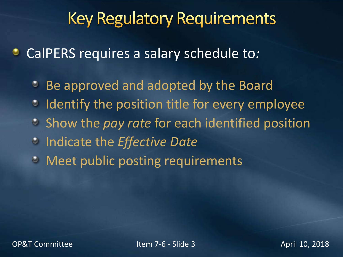#### **Key Regulatory Requirements**

CalPERS requires a salary schedule to*:*

- Be approved and adopted by the Board
- <sup>o</sup> Identify the position title for every employee
- Show the *pay rate* for each identified position
- Indicate the *Effective Date*
- **EXECUTE:** Meet public posting requirements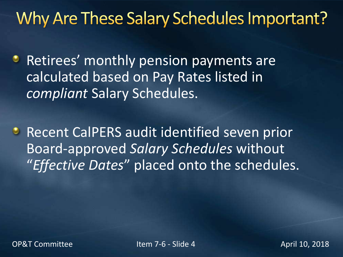## Why Are These Salary Schedules Important?

**• Retirees' monthly pension payments are** calculated based on Pay Rates listed in *compliant* Salary Schedules.

**• Recent CalPERS audit identified seven prior** Board-approved *Salary Schedules* without "*Effective Dates*" placed onto the schedules.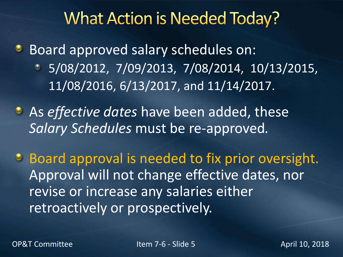### **What Action is Needed Today?**

**Board approved salary schedules on:** 5/08/2012, 7/09/2013, 7/08/2014, 10/13/2015, 11/08/2016, 6/13/2017, and 11/14/2017.

As *effective dates* have been added, these *Salary Schedules* must be re-approved*.* 

Board approval is needed to fix prior oversight. Approval will not change effective dates, nor revise or increase any salaries either retroactively or prospectively.

OP&T Committee Item 7-6 - Slide 5 April 10, 2018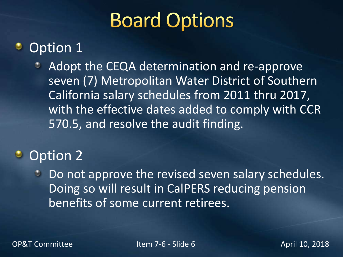# **Board Options**

#### Option 1

Adopt the CEQA determination and re-approve ۰ seven (7) Metropolitan Water District of Southern California salary schedules from 2011 thru 2017, with the effective dates added to comply with CCR 570.5, and resolve the audit finding.

#### $\bullet$ Option 2

Do not approve the revised seven salary schedules. Doing so will result in CalPERS reducing pension benefits of some current retirees.

OP&T Committee The Item 7-6 - Slide 6 April 10, 2018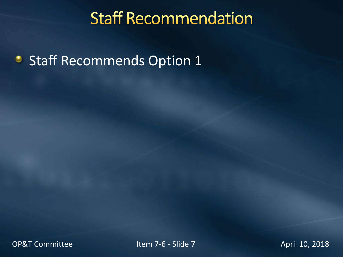## **Staff Recommendation**

**Staff Recommends Option 1** 

OP&T Committee The Item 7-6 - Slide 7 April 10, 2018